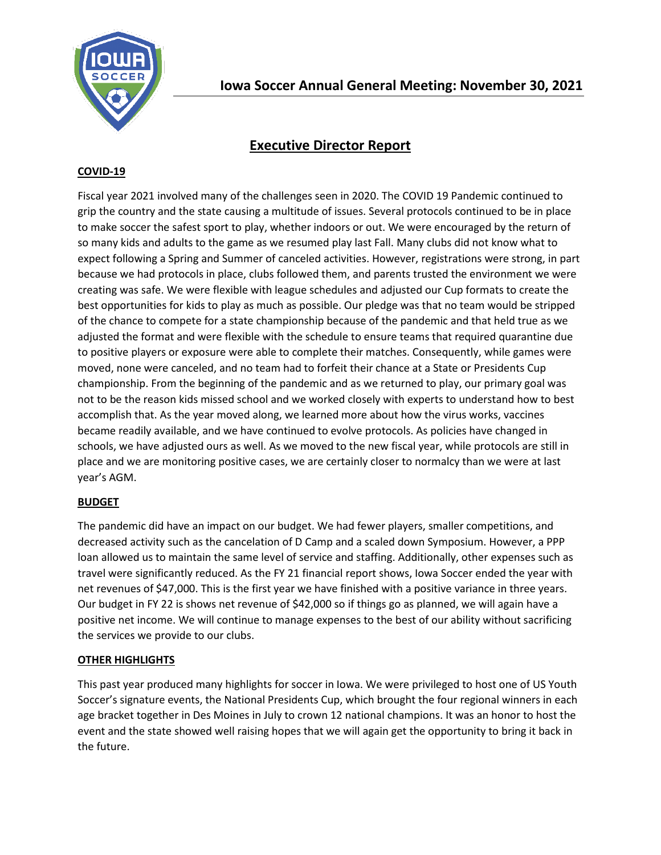

# **Executive Director Report**

## **COVID-19**

Fiscal year 2021 involved many of the challenges seen in 2020. The COVID 19 Pandemic continued to grip the country and the state causing a multitude of issues. Several protocols continued to be in place to make soccer the safest sport to play, whether indoors or out. We were encouraged by the return of so many kids and adults to the game as we resumed play last Fall. Many clubs did not know what to expect following a Spring and Summer of canceled activities. However, registrations were strong, in part because we had protocols in place, clubs followed them, and parents trusted the environment we were creating was safe. We were flexible with league schedules and adjusted our Cup formats to create the best opportunities for kids to play as much as possible. Our pledge was that no team would be stripped of the chance to compete for a state championship because of the pandemic and that held true as we adjusted the format and were flexible with the schedule to ensure teams that required quarantine due to positive players or exposure were able to complete their matches. Consequently, while games were moved, none were canceled, and no team had to forfeit their chance at a State or Presidents Cup championship. From the beginning of the pandemic and as we returned to play, our primary goal was not to be the reason kids missed school and we worked closely with experts to understand how to best accomplish that. As the year moved along, we learned more about how the virus works, vaccines became readily available, and we have continued to evolve protocols. As policies have changed in schools, we have adjusted ours as well. As we moved to the new fiscal year, while protocols are still in place and we are monitoring positive cases, we are certainly closer to normalcy than we were at last year's AGM.

### **BUDGET**

The pandemic did have an impact on our budget. We had fewer players, smaller competitions, and decreased activity such as the cancelation of D Camp and a scaled down Symposium. However, a PPP loan allowed us to maintain the same level of service and staffing. Additionally, other expenses such as travel were significantly reduced. As the FY 21 financial report shows, Iowa Soccer ended the year with net revenues of \$47,000. This is the first year we have finished with a positive variance in three years. Our budget in FY 22 is shows net revenue of \$42,000 so if things go as planned, we will again have a positive net income. We will continue to manage expenses to the best of our ability without sacrificing the services we provide to our clubs.

### **OTHER HIGHLIGHTS**

This past year produced many highlights for soccer in Iowa. We were privileged to host one of US Youth Soccer's signature events, the National Presidents Cup, which brought the four regional winners in each age bracket together in Des Moines in July to crown 12 national champions. It was an honor to host the event and the state showed well raising hopes that we will again get the opportunity to bring it back in the future.